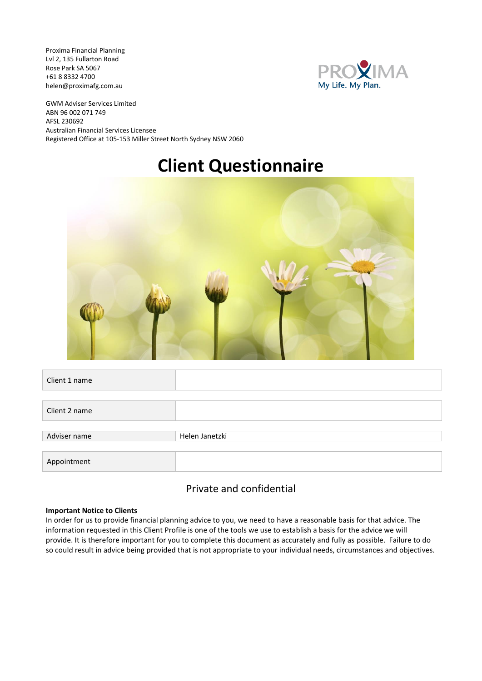Proxima Financial Planning Lvl 2, 135 Fullarton Road Rose Park SA 5067 +61 8 8332 4700 helen@proximafg.com.au



GWM Adviser Services Limited ABN 96 002 071 749 AFSL 230692 Australian Financial Services Licensee Registered Office at 105-153 Miller Street North Sydney NSW 2060

# **Client Questionnaire**



| Client 1 name |                |
|---------------|----------------|
|               |                |
| Client 2 name |                |
|               |                |
| Adviser name  | Helen Janetzki |
|               |                |
| Appointment   |                |

#### Private and confidential

#### **Important Notice to Clients**

In order for us to provide financial planning advice to you, we need to have a reasonable basis for that advice. The information requested in this Client Profile is one of the tools we use to establish a basis for the advice we will provide. It is therefore important for you to complete this document as accurately and fully as possible. Failure to do so could result in advice being provided that is not appropriate to your individual needs, circumstances and objectives.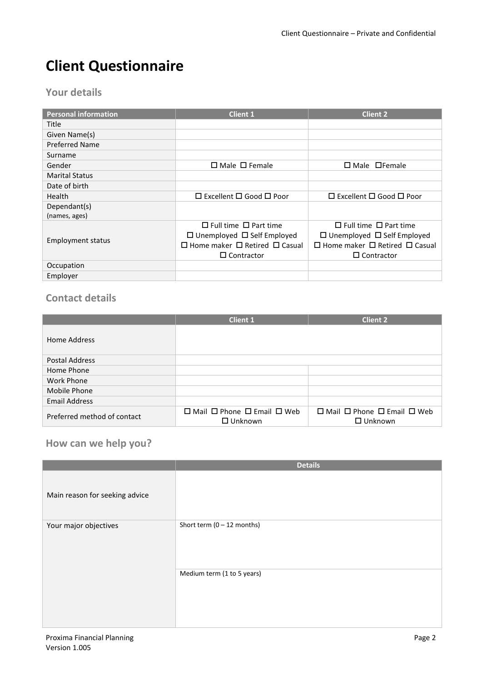# **Client Questionnaire**

#### **Your details**

| <b>Personal information</b> | <b>Client 1</b>                                | Client <sub>2</sub>                            |
|-----------------------------|------------------------------------------------|------------------------------------------------|
| Title                       |                                                |                                                |
| Given Name(s)               |                                                |                                                |
| Preferred Name              |                                                |                                                |
| Surname                     |                                                |                                                |
| Gender                      | $\Box$ Male $\Box$ Female                      | $\Box$ Male $\Box$ Female                      |
| <b>Marital Status</b>       |                                                |                                                |
| Date of birth               |                                                |                                                |
| <b>Health</b>               | $\Box$ Excellent $\Box$ Good $\Box$ Poor       | $\Box$ Excellent $\Box$ Good $\Box$ Poor       |
| Dependant(s)                |                                                |                                                |
| (names, ages)               |                                                |                                                |
|                             | $\Box$ Full time $\Box$ Part time              | $\Box$ Full time $\Box$ Part time              |
|                             | $\Box$ Unemployed $\Box$ Self Employed         | $\Box$ Unemployed $\Box$ Self Employed         |
| Employment status           | $\Box$ Home maker $\Box$ Retired $\Box$ Casual | $\Box$ Home maker $\Box$ Retired $\Box$ Casual |
|                             | $\Box$ Contractor                              | $\Box$ Contractor                              |
| Occupation                  |                                                |                                                |
| Employer                    |                                                |                                                |

### **Contact details**

|                             | <b>Client 2</b><br><b>Client 1</b>                                 |                                                                    |  |
|-----------------------------|--------------------------------------------------------------------|--------------------------------------------------------------------|--|
| Home Address                |                                                                    |                                                                    |  |
| <b>Postal Address</b>       |                                                                    |                                                                    |  |
| Home Phone                  |                                                                    |                                                                    |  |
| Work Phone                  |                                                                    |                                                                    |  |
| Mobile Phone                |                                                                    |                                                                    |  |
| <b>Email Address</b>        |                                                                    |                                                                    |  |
| Preferred method of contact | $\Box$ Mail $\Box$ Phone $\Box$ Email $\Box$ Web<br>$\Box$ Unknown | $\Box$ Mail $\Box$ Phone $\Box$ Email $\Box$ Web<br>$\Box$ Unknown |  |

## **How can we help you?**

|                                | <b>Details</b>               |
|--------------------------------|------------------------------|
| Main reason for seeking advice |                              |
| Your major objectives          | Short term $(0 - 12$ months) |
|                                | Medium term (1 to 5 years)   |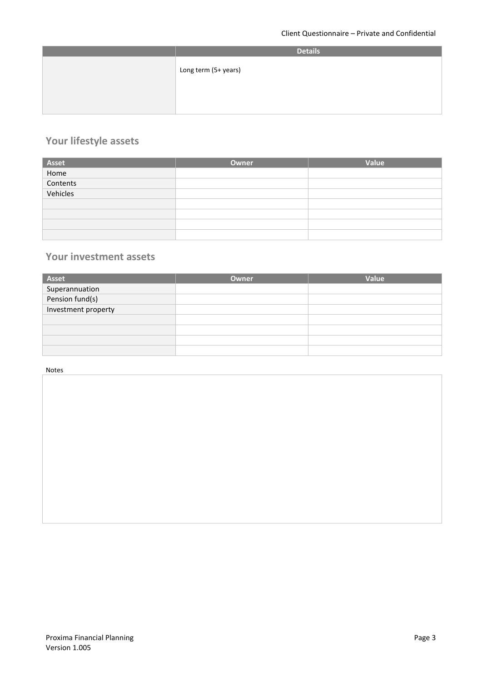| <b>Details</b>       |
|----------------------|
| Long term (5+ years) |
|                      |

## **Your lifestyle assets**

|                           | Owner | Value |
|---------------------------|-------|-------|
| Asset<br>Home<br>Contents |       |       |
|                           |       |       |
| Vehicles                  |       |       |
|                           |       |       |
|                           |       |       |
|                           |       |       |
|                           |       |       |

#### **Your investment assets**

| <b>Asset</b>                      | Owner | Value |
|-----------------------------------|-------|-------|
|                                   |       |       |
| Superannuation<br>Pension fund(s) |       |       |
| Investment property               |       |       |
|                                   |       |       |
|                                   |       |       |
|                                   |       |       |
|                                   |       |       |

#### Notes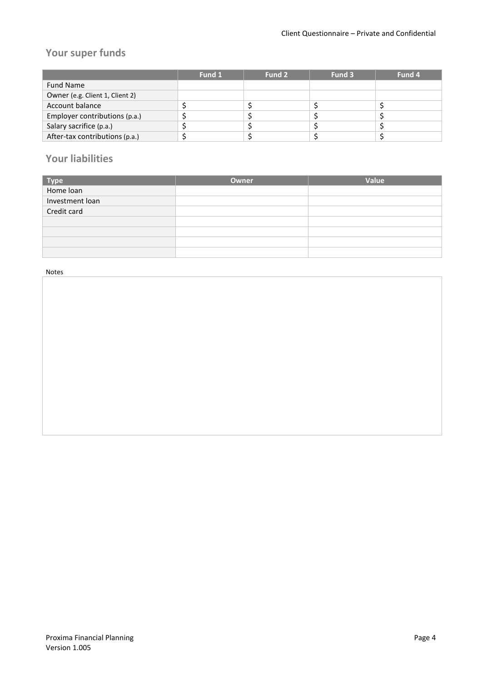## **Your super funds**

|                                 | Fund 1 | Fund 2 | Fund 3 | Fund 4 |
|---------------------------------|--------|--------|--------|--------|
| <b>Fund Name</b>                |        |        |        |        |
| Owner (e.g. Client 1, Client 2) |        |        |        |        |
| Account balance                 |        |        |        |        |
| Employer contributions (p.a.)   |        |        |        |        |
| Salary sacrifice (p.a.)         |        |        |        |        |
| After-tax contributions (p.a.)  |        |        |        |        |

### **Your liabilities**

|                   | Owner | Value |
|-------------------|-------|-------|
| Type<br>Home loan |       |       |
| Investment loan   |       |       |
| Credit card       |       |       |
|                   |       |       |
|                   |       |       |
|                   |       |       |
|                   |       |       |

Notes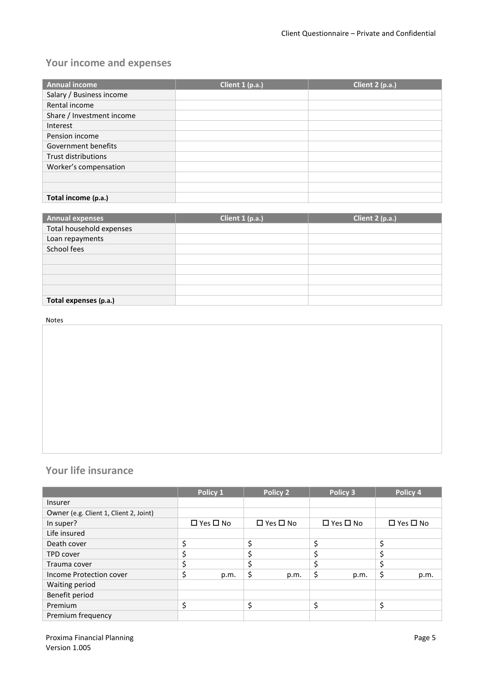## **Your income and expenses**

| <b>Annual income</b>       | Client 1 (p.a.) | Client 2 (p.a.) |
|----------------------------|-----------------|-----------------|
| Salary / Business income   |                 |                 |
| Rental income              |                 |                 |
| Share / Investment income  |                 |                 |
| Interest                   |                 |                 |
| Pension income             |                 |                 |
| Government benefits        |                 |                 |
| <b>Trust distributions</b> |                 |                 |
| Worker's compensation      |                 |                 |
|                            |                 |                 |
|                            |                 |                 |
| Total income (p.a.)        |                 |                 |

| Annual expenses          | Client $1$ (p.a.) | Client 2 (p.a.) |
|--------------------------|-------------------|-----------------|
| Total household expenses |                   |                 |
| Loan repayments          |                   |                 |
| School fees              |                   |                 |
|                          |                   |                 |
|                          |                   |                 |
|                          |                   |                 |
|                          |                   |                 |
| Total expenses (p.a.)    |                   |                 |

#### Notes

### **Your life insurance**

|                                        | Policy 1             | Policy 2             | Policy 3             | Policy 4             |
|----------------------------------------|----------------------|----------------------|----------------------|----------------------|
| <b>Insurer</b>                         |                      |                      |                      |                      |
| Owner (e.g. Client 1, Client 2, Joint) |                      |                      |                      |                      |
| In super?                              | $\Box$ Yes $\Box$ No | $\Box$ Yes $\Box$ No | $\Box$ Yes $\Box$ No | $\Box$ Yes $\Box$ No |
| Life insured                           |                      |                      |                      |                      |
| Death cover                            | \$                   | \$                   |                      | \$                   |
| <b>TPD cover</b>                       |                      | \$                   |                      |                      |
| Trauma cover                           | \$                   | \$                   |                      |                      |
| Income Protection cover                | \$<br>p.m.           | \$<br>p.m.           | \$<br>p.m.           | \$<br>p.m.           |
| Waiting period                         |                      |                      |                      |                      |
| Benefit period                         |                      |                      |                      |                      |
| Premium                                | \$                   | \$                   | ċ<br>¢               | \$                   |
| Premium frequency                      |                      |                      |                      |                      |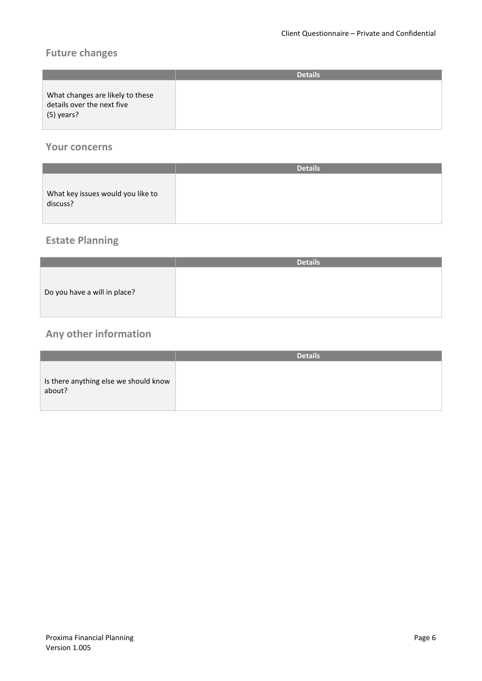## **Future changes**

|                                                                              | <b>Details</b> |
|------------------------------------------------------------------------------|----------------|
| What changes are likely to these<br>details over the next five<br>(5) years? |                |

#### **Your concerns**

|                                               | <b>Details</b> |
|-----------------------------------------------|----------------|
| What key issues would you like to<br>discuss? |                |

## **Estate Planning**

|                              | <b>Details</b> |
|------------------------------|----------------|
| Do you have a will in place? |                |

## **Any other information**

|                                                 | <b>Details</b> |
|-------------------------------------------------|----------------|
| Is there anything else we should know<br>about? |                |